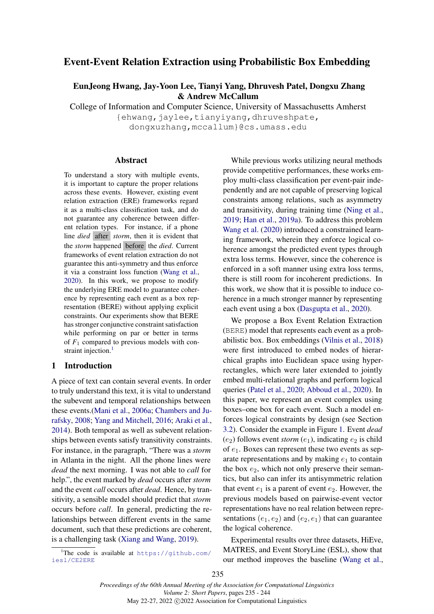# Event-Event Relation Extraction using Probabilistic Box Embedding

EunJeong Hwang, Jay-Yoon Lee, Tianyi Yang, Dhruvesh Patel, Dongxu Zhang & Andrew McCallum

College of Information and Computer Science, University of Massachusetts Amherst

{ehwang, jaylee, tianyiyang, dhruveshpate, dongxuzhang,mccallum}@cs.umass.edu

#### Abstract

To understand a story with multiple events, it is important to capture the proper relations across these events. However, existing event relation extraction (ERE) frameworks regard it as a multi-class classification task, and do not guarantee any coherence between different relation types. For instance, if a phone line *died* after *storm*, then it is evident that the *storm* happened before the *died*. Current frameworks of event relation extraction do not guarantee this anti-symmetry and thus enforce it via a constraint loss function [\(Wang et al.,](#page-6-0) [2020\)](#page-6-0). In this work, we propose to modify the underlying ERE model to guarantee coherence by representing each event as a box representation (BERE) without applying explicit constraints. Our experiments show that BERE has stronger conjunctive constraint satisfaction while performing on par or better in terms of  $F_1$  compared to previous models with con-straint injection.<sup>[1](#page-0-0)</sup>

#### 1 Introduction

A piece of text can contain several events. In order to truly understand this text, it is vital to understand the subevent and temporal relationships between these events.[\(Mani et al.,](#page-5-0) [2006a;](#page-5-0) [Chambers and Ju](#page-5-1)[rafsky,](#page-5-1) [2008;](#page-5-1) [Yang and Mitchell,](#page-6-1) [2016;](#page-6-1) [Araki et al.,](#page-5-2) [2014\)](#page-5-2). Both temporal as well as subevent relationships between events satisfy transitivity constraints. For instance, in the paragraph, "There was a *storm* in Atlanta in the night. All the phone lines were *dead* the next morning. I was not able to *call* for help.", the event marked by *dead* occurs after *storm* and the event *call* occurs after *dead*. Hence, by transitivity, a sensible model should predict that *storm* occurs before *call*. In general, predicting the relationships between different events in the same document, such that these predictions are coherent, is a challenging task [\(Xiang and Wang,](#page-6-2) [2019\)](#page-6-2).

<span id="page-0-0"></span><sup>1</sup>The code is available at  $https://github.com/$ [iesl/CE2ERE](https://github.com/iesl/CE2ERE)

While previous works utilizing neural methods provide competitive performances, these works employ multi-class classification per event-pair independently and are not capable of preserving logical constraints among relations, such as asymmetry and transitivity, during training time [\(Ning et al.,](#page-5-3) [2019;](#page-5-3) [Han et al.,](#page-5-4) [2019a\)](#page-5-4). To address this problem [Wang et al.](#page-6-0) [\(2020\)](#page-6-0) introduced a constrained learning framework, wherein they enforce logical coherence amongst the predicted event types through extra loss terms. However, since the coherence is enforced in a soft manner using extra loss terms, there is still room for incoherent predictions. In this work, we show that it is possible to induce coherence in a much stronger manner by representing each event using a box [\(Dasgupta et al.,](#page-5-5) [2020\)](#page-5-5).

We propose a Box Event Relation Extraction (BERE) model that represents each event as a probabilistic box. Box embeddings [\(Vilnis et al.,](#page-6-3) [2018\)](#page-6-3) were first introduced to embed nodes of hierarchical graphs into Euclidean space using hyperrectangles, which were later extended to jointly embed multi-relational graphs and perform logical queries [\(Patel et al.,](#page-5-6) [2020;](#page-5-6) [Abboud et al.,](#page-4-0) [2020\)](#page-4-0). In this paper, we represent an event complex using boxes–one box for each event. Such a model enforces logical constraints by design (see Section [3.2\)](#page-2-0). Consider the example in Figure [1.](#page-2-1) Event *dead*  $(e_2)$  follows event *storm*  $(e_1)$ , indicating  $e_2$  is child of  $e_1$ . Boxes can represent these two events as separate representations and by making  $e_1$  to contain the box  $e_2$ , which not only preserve their semantics, but also can infer its antisymmetric relation that event  $e_1$  is a parent of event  $e_2$ . However, the previous models based on pairwise-event vector representations have no real relation between representations  $(e_1, e_2)$  and  $(e_2, e_1)$  that can guarantee the logical coherence.

Experimental results over three datasets, HiEve, MATRES, and Event StoryLine (ESL), show that our method improves the baseline [\(Wang et al.,](#page-6-0)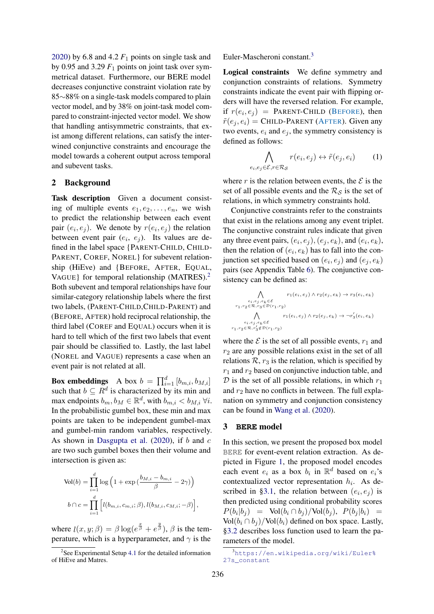[2020\)](#page-6-0) by 6.8 and 4.2  $F_1$  points on single task and by 0.95 and 3.29  $F_1$  points on joint task over symmetrical dataset. Furthermore, our BERE model decreases conjunctive constraint violation rate by 85∼88% on a single-task models compared to plain vector model, and by 38% on joint-task model compared to constraint-injected vector model. We show that handling antisymmetric constraints, that exist among different relations, can satisfy the interwined conjunctive constraints and encourage the model towards a coherent output across temporal and subevent tasks.

## 2 Background

Task description Given a document consisting of multiple events  $e_1, e_2, \ldots, e_n$ , we wish to predict the relationship between each event pair  $(e_i, e_j)$ . We denote by  $r(e_i, e_j)$  the relation between event pair  $(e_i, e_j)$ . Its values are defined in the label space {PARENT-CHILD, CHILD-PARENT, COREF, NOREL} for subevent relationship (HiEve) and {BEFORE, AFTER, EQUAL, VAGUE} for temporal relationship (MATRES).<sup>[2](#page-1-0)</sup> Both subevent and temporal relationships have four similar-category relationship labels where the first two labels, (PARENT-CHILD,CHILD-PARENT) and (BEFORE, AFTER) hold reciprocal relationship, the third label (COREF and EQUAL) occurs when it is hard to tell which of the first two labels that event pair should be classified to. Lastly, the last label (NOREL and VAGUE) represents a case when an event pair is not related at all.

**Box embeddings** A box  $b = \prod_{i=1}^{d} [b_{m,i}, b_{M,i}]$ such that  $b \subseteq R^d$  is characterized by its min and max endpoints  $b_m, b_M \in \mathbb{R}^d$ , with  $b_{m,i} < b_{M,i} \ \forall i$ . In the probabilistic gumbel box, these min and max points are taken to be independent gumbel-max and gumbel-min random variables, respectively. As shown in [Dasgupta et al.](#page-5-5)  $(2020)$ , if b and c are two such gumbel boxes then their volume and intersection is given as:

$$
\text{Vol}(b) = \prod_{i=1}^{d} \log \left( 1 + \exp \left( \frac{b_{M,i} - b_{m,i}}{\beta} - 2\gamma \right) \right)
$$

$$
b \cap c = \prod_{i=1}^{d} \left[ l(b_{m,i}, c_{m,i}; \beta), l(b_{M,i}, c_{M,i}; -\beta) \right],
$$

where  $l(x, y; \beta) = \beta \log(e^{\frac{x}{\beta}} + e^{\frac{y}{\beta}}), \beta$  is the temperature, which is a hyperparameter, and  $\gamma$  is the Euler-Mascheroni constant.[3](#page-1-1)

 $e_i$ 

Logical constraints We define symmetry and conjunction constraints of relations. Symmetry constraints indicate the event pair with flipping orders will have the reversed relation. For example, if  $r(e_i, e_j)$  = PARENT-CHILD (BEFORE), then  $\tilde{r}(e_i, e_i)$  = CHILD-PARENT (AFTER). Given any two events,  $e_i$  and  $e_j$ , the symmetry consistency is defined as follows:

$$
\bigwedge_{e_j \in \mathcal{E}, r \in \mathcal{R}_{\mathcal{S}}} r(e_i, e_j) \leftrightarrow \tilde{r}(e_j, e_i) \tag{1}
$$

where r is the relation between events, the  $\mathcal E$  is the set of all possible events and the  $\mathcal{R}_\mathcal{S}$  is the set of relations, in which symmetry constraints hold.

Conjunctive constraints refer to the constraints that exist in the relations among any event triplet. The conjunctive constraint rules indicate that given any three event pairs,  $(e_i, e_j)$ ,  $(e_j, e_k)$ , and  $(e_i, e_k)$ , then the relation of  $(e_i, e_k)$  has to fall into the conjunction set specified based on  $(e_i, e_j)$  and  $(e_j, e_k)$ pairs (see Appendix Table [6\)](#page-8-0). The conjunctive consistency can be defined as:

$$
\bigwedge_{e_i, e_j, e_k \in \mathcal{E}} r_1(e_i, e_j) \land r_2(e_j, e_k) \to r_3(e_i, e_k)
$$
  
\n
$$
r_1, r_2 \in \mathcal{R}, r_3 \in \mathcal{D}(r_1, r_2)
$$
  
\n
$$
\bigwedge_{e_i, e_j, e_k \in \mathcal{E}} r_1(e_i, e_j) \land r_2(e_j, e_k) \to \neg r'_3(e_i, e_k)
$$
  
\n
$$
r_1, r_2 \in \mathcal{R}, r'_3 \notin \mathcal{D}(r_1, r_2)
$$

where the  $\mathcal E$  is the set of all possible events,  $r_1$  and  $r<sub>2</sub>$  are any possible relations exist in the set of all relations  $\mathcal{R}$ ,  $r_3$  is the relation, which is specified by  $r_1$  and  $r_2$  based on conjunctive induction table, and  $D$  is the set of all possible relations, in which  $r_1$ and  $r_2$  have no conflicts in between. The full explanation on symmetry and conjunction consistency can be found in [Wang et al.](#page-6-0) [\(2020\)](#page-6-0).

### 3 **BERE** model

In this section, we present the proposed box model BERE for event-event relation extraction. As depicted in Figure [1,](#page-2-1) the proposed model encodes each event  $e_i$  as a box  $b_i$  in  $\mathbb{R}^d$  based on  $e_i$ 's contextualized vector representation  $h_i$ . As de-scribed in [§3.1,](#page-2-3) the relation between  $(e_i, e_j)$  is then predicted using conditional probability scores  $P(b_i|b_j) = \text{Vol}(b_i \cap b_j) / \text{Vol}(b_j), P(b_j|b_i) =$ Vol $(b_i \cap b_j)$ /Vol $(b_i)$  defined on box space. Lastly, [§3.2](#page-2-0) describes loss function used to learn the parameters of the model.

<span id="page-1-0"></span><sup>&</sup>lt;sup>2</sup>See Experimental Setup [4.1](#page-2-2) for the detailed information of HiEve and Matres.

<span id="page-1-1"></span><sup>3</sup>[https://en.wikipedia.org/wiki/Euler%](https://en.wikipedia.org/wiki/Euler%27s_constant) [27s\\_constant](https://en.wikipedia.org/wiki/Euler%27s_constant)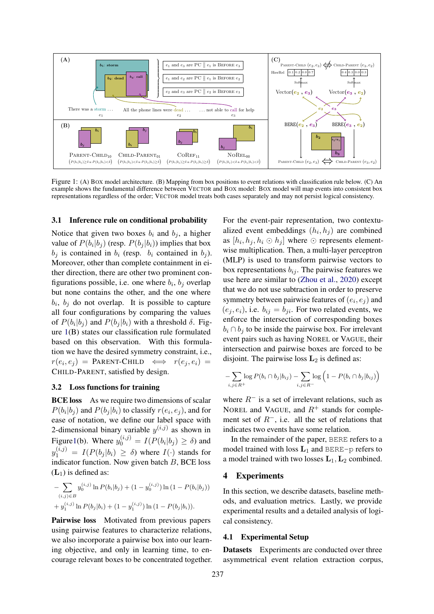<span id="page-2-1"></span>

Figure 1: (A) BOX model architecture. (B) Mapping from box positions to event relations with classification rule below. (C) An example shows the fundamental difference between VECTOR and BOX model: BOX model will map events into consistent box representations regardless of the order; VECTOR model treats both cases separately and may not persist logical consistency.

#### <span id="page-2-3"></span>3.1 Inference rule on conditional probability

Notice that given two boxes  $b_i$  and  $b_j$ , a higher value of  $P(b_i|b_j)$  (resp.  $P(b_j|b_i)$ ) implies that box  $b_i$  is contained in  $b_i$  (resp.  $b_i$  contained in  $b_i$ ). Moreover, other than complete containment in either direction, there are other two prominent configurations possible, i.e. one where  $b_i$ ,  $b_j$  overlap but none contains the other, and the one where  $b_i$ ,  $b_j$  do not overlap. It is possible to capture all four configurations by comparing the values of  $P(b_i|b_j)$  and  $P(b_j|b_i)$  with a threshold  $\delta$ . Figure [1\(](#page-2-1)B) states our classification rule formulated based on this observation. With this formulation we have the desired symmetry constraint, i.e.,  $r(e_i, e_j)$  = PARENT-CHILD  $\iff$   $r(e_j, e_i)$  = CHILD-PARENT, satisfied by design.

### <span id="page-2-0"></span>3.2 Loss functions for training

**BCE loss** As we require two dimensions of scalar  $P(b_i|b_j)$  and  $P(b_j|b_i)$  to classify  $r(e_i, e_j)$ , and for ease of notation, we define our label space with 2-dimensional binary variable  $y^{(i,j)}$  as shown in Figur[e1\(](#page-2-1)b). Where  $y_0^{(i,j)} = I(P(b_i|b_j) \ge \delta)$  and  $y_1^{(i,j)} = I(P(b_j|b_i) \ge \delta)$  where  $I(\cdot)$  stands for indicator function. Now given batch  $B$ , BCE loss  $(L_1)$  is defined as:

$$
-\sum_{(i,j)\in B} y_0^{(i,j)} \ln P(b_i|b_j) + (1 - y_0^{(i,j)}) \ln (1 - P(b_i|b_j))
$$
  
+  $y_1^{(i,j)} \ln P(b_j|b_i) + (1 - y_1^{(i,j)}) \ln (1 - P(b_j|b_i)).$ 

Pairwise loss Motivated from previous papers using pairwise features to characterize relations, we also incorporate a pairwise box into our learning objective, and only in learning time, to encourage relevant boxes to be concentrated together. For the event-pair representation, two contextualized event embeddings  $(h_i, h_j)$  are combined as  $[h_i, h_j, h_i \odot h_j]$  where  $\odot$  represents elementwise multiplication. Then, a multi-layer perceptron (MLP) is used to transform pairwise vectors to box representations  $b_{ij}$ . The pairwise features we use here are similar to [\(Zhou et al.,](#page-6-4) [2020\)](#page-6-4) except that we do not use subtraction in order to preserve symmetry between pairwise features of  $(e_i, e_j)$  and  $(e_i, e_i)$ , i.e.  $b_{ij} = b_{ji}$ . For two related events, we enforce the intersection of corresponding boxes  $b_i \cap b_j$  to be inside the pairwise box. For irrelevant event pairs such as having NOREL or VAGUE, their intersection and pairwise boxes are forced to be disjoint. The pairwise loss  $L_2$  is defined as:

$$
-\sum_{i,j\in R^+}\log P(b_i\cap b_j|b_{ij})-\sum_{i,j\in R^-}\log\left(1-P(b_i\cap b_j|b_{ij})\right)
$$

where  $R^-$  is a set of irrelevant relations, such as NOREL and VAGUE, and  $R^+$  stands for complement set of  $R^-$ , i.e. all the set of relations that indicates two events have some relation.

In the remainder of the paper, BERE refers to a model trained with loss  $L_1$  and BERE-p refers to a model trained with two losses  $L_1, L_2$  combined.

#### 4 Experiments

In this section, we describe datasets, baseline methods, and evaluation metrics. Lastly, we provide experimental results and a detailed analysis of logical consistency.

#### <span id="page-2-2"></span>4.1 Experimental Setup

Datasets Experiments are conducted over three asymmetrical event relation extraction corpus,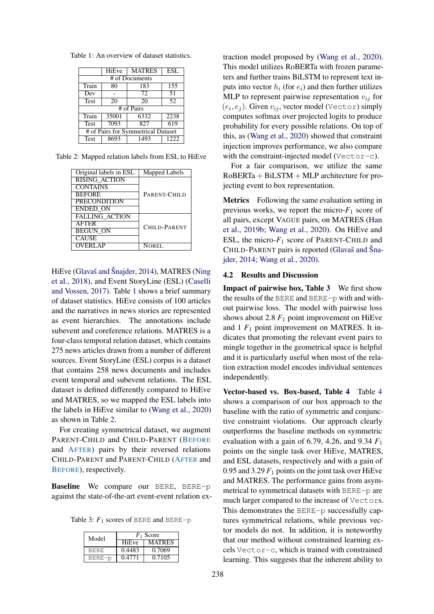<span id="page-3-0"></span>Table 1: An overview of dataset statistics.

|             | <b>HiEve</b>                       | <b>MATRES</b> | <b>ESL</b>      |  |  |  |  |  |  |
|-------------|------------------------------------|---------------|-----------------|--|--|--|--|--|--|
|             | # of Documents                     |               |                 |  |  |  |  |  |  |
| Train       | 80                                 | 183           | 155             |  |  |  |  |  |  |
| Dev         |                                    | 72            | $\overline{51}$ |  |  |  |  |  |  |
| <b>Test</b> | 20                                 | 20            | 52              |  |  |  |  |  |  |
|             |                                    | # of Pairs    |                 |  |  |  |  |  |  |
| Train       | 35001                              | 6332          | 2238            |  |  |  |  |  |  |
| <b>Test</b> | 7093                               | 827           | 619             |  |  |  |  |  |  |
|             | # of Pairs for Symmetrical Dataset |               |                 |  |  |  |  |  |  |
| <b>Test</b> | 8693                               | 1493          | 1222            |  |  |  |  |  |  |

<span id="page-3-1"></span>Table 2: Mapped relation labels from ESL to HiEve

| Original labels in ESL | Mapped Labels       |
|------------------------|---------------------|
| <b>RISING ACTION</b>   |                     |
| <b>CONTAINS</b>        |                     |
| <b>BEFORE</b>          | PARENT-CHILD        |
| <b>PRECONDITION</b>    |                     |
| <b>ENDED ON</b>        |                     |
| <b>FALLING ACTION</b>  |                     |
| <b>AFTER</b>           | <b>CHILD-PARENT</b> |
| <b>BEGUN ON</b>        |                     |
| <b>CAUSE</b>           |                     |
| <b>OVERLAP</b>         | NOREL               |

HiEve [\(Glavaš and Šnajder,](#page-5-7) [2014\)](#page-5-7), MATRES [\(Ning](#page-5-8) [et al.,](#page-5-8) [2018\)](#page-5-8), and Event StoryLine (ESL) [\(Caselli](#page-5-9) [and Vossen,](#page-5-9) [2017\)](#page-5-9). Table [1](#page-3-0) shows a brief summary of dataset statistics. HiEve consists of 100 articles and the narratives in news stories are represented as event hierarchies. The annotations include subevent and coreference relations. MATRES is a four-class temporal relation dataset, which contains 275 news articles drawn from a number of different sources. Event StoryLine (ESL) corpus is a dataset that contains 258 news documents and includes event temporal and subevent relations. The ESL dataset is defined differently compared to HiEve and MATRES, so we mapped the ESL labels into the labels in HiEve similar to [\(Wang et al.,](#page-6-0) [2020\)](#page-6-0) as shown in Table [2.](#page-3-1)

For creating symmetrical dataset, we augment PARENT-CHILD and CHILD-PARENT (BEFORE and AFTER) pairs by their reversed relations CHILD-PARENT and PARENT-CHILD (AFTER and BEFORE), respectively.

Baseline We compare our BERE, BERE-p against the state-of-the-art event-event relation ex-

<span id="page-3-2"></span>Table 3:  $F_1$  scores of BERE and BERE-p

| Model       | $F_1$ Score |               |  |  |  |  |
|-------------|-------------|---------------|--|--|--|--|
|             | HiEve       | <b>MATRES</b> |  |  |  |  |
| <b>BERE</b> | 0.4483      | 0.7069        |  |  |  |  |
| BERE-p      | 0.4771      | 0.7105        |  |  |  |  |

traction model proposed by [\(Wang et al.,](#page-6-0) [2020\)](#page-6-0). This model utilizes RoBERTa with frozen parameters and further trains BiLSTM to represent text inputs into vector  $h_i$  (for  $e_i$ ) and then further utilizes MLP to represent pairwise representation  $v_{ij}$  for  $(e_i, e_j)$ . Given  $v_{ij}$ , vector model (Vector) simply computes softmax over projected logits to produce probability for every possible relations. On top of this, as [\(Wang et al.,](#page-6-0) [2020\)](#page-6-0) showed that constraint injection improves performance, we also compare with the constraint-injected model (Vector-c).

For a fair comparison, we utilize the same  $RoBERTa + BiLSTM + MLP$  architecture for projecting event to box representation.

Metrics Following the same evaluation setting in previous works, we report the micro- $F_1$  score of all pairs, except VAGUE pairs, on MATRES [\(Han](#page-5-10) [et al.,](#page-5-10) [2019b;](#page-5-10) [Wang et al.,](#page-6-0) [2020\)](#page-6-0). On HiEve and ESL, the micro-*F*<sup>1</sup> score of PARENT-CHILD and CHILD-PARENT pairs is reported [\(Glavaš and Šna](#page-5-7)[jder,](#page-5-7) [2014;](#page-5-7) [Wang et al.,](#page-6-0) [2020\)](#page-6-0).

#### 4.2 Results and Discussion

**Impact of pairwise box, Table [3](#page-3-2)** We first show the results of the BERE and BERE-p with and without pairwise loss. The model with pairwise loss shows about 2.8  $F_1$  point improvement on HiEve and  $1 F_1$  point improvement on MATRES. It indicates that promoting the relevant event pairs to mingle together in the geometrical space is helpful and it is particularly useful when most of the relation extraction model encodes individual sentences independently.

Vector-based vs. Box-based, Table [4](#page-4-1) Table [4](#page-4-1) shows a comparison of our box approach to the baseline with the ratio of symmetric and conjunctive constraint violations. Our approach clearly outperforms the baseline methods on symmetric evaluation with a gain of 6.79, 4.26, and 9.34 *F*<sup>1</sup> points on the single task over HiEve, MATRES, and ESL datasets, respectively and with a gain of 0.95 and 3.29  $F_1$  points on the joint task over HiEve and MATRES. The performance gains from asymmetrical to symmetrical datasets with BERE-p are much larger compared to the increase of Vectors. This demonstrates the BERE-p successfully captures symmetrical relations, while previous vector models do not. In addition, it is noteworthy that our method without constrained learning excels Vector-c, which is trained with constrained learning. This suggests that the inherent ability to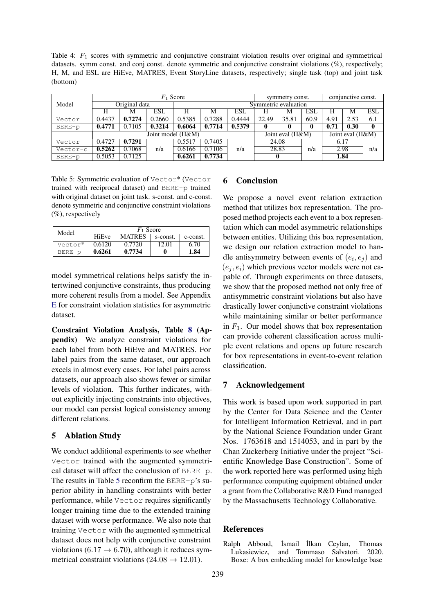<span id="page-4-1"></span>Table 4:  $F_1$  scores with symmetric and conjunctive constraint violation results over original and symmetrical datasets. symm const. and conj const. denote symmetric and conjunctive constraint violations (%), respectively; H, M, and ESL are HiEve, MATRES, Event StoryLine datasets, respectively; single task (top) and joint task (bottom)

|          | $F_1$ Score |               |        |                   |        |        | symmetry const.                      |                      |      | conjunctive const. |      |              |
|----------|-------------|---------------|--------|-------------------|--------|--------|--------------------------------------|----------------------|------|--------------------|------|--------------|
| Model    |             | Original data |        |                   |        |        |                                      | Symmetric evaluation |      |                    |      |              |
|          | Н           | м             | ESL    | Н                 | М      | ESL    | Н                                    | М                    | ESL  | н                  | М    | <b>ESL</b>   |
| Vector   | 0.4437      | 0.7274        | 0.2660 | 0.5385            | 0.7288 | 0.4444 | 22.49                                | 35.81                | 60.9 | 4.91               | 2.53 | 6.1          |
| BERE-p   | 0.4771      | 0.7105        | 0.3214 | 0.6064            | 0.7714 | 0.5379 | 0                                    |                      | 0    | 0.71               | 0.30 | $\mathbf{0}$ |
|          |             |               |        | Joint model (H&M) |        |        | Joint eval (H&M)<br>Joint eval (H&M) |                      |      |                    |      |              |
| Vector   | 0.4727      | 0.7291        |        | 0.5517            | 0.7405 |        |                                      | 24.08<br>28.83       |      | 6.17               |      |              |
| Vector-c | 0.5262      | 0.7068        | n/a    | 0.6166            | 0.7106 | n/a    |                                      |                      |      | 2.98               |      | n/a          |
| BERE-p   | 0.5053      | 0.7125        |        | 0.6261            | 0.7734 |        | v                                    |                      |      |                    | 1.84 |              |

<span id="page-4-2"></span>Table 5: Symmetric evaluation of Vector\* (Vector trained with reciprocal dataset) and BERE-p trained with original dataset on joint task. s-const. and c-const. denote symmetric and conjunctive constraint violations  $(\%)$ , respectively

| Model   | $F_1$ Score  |        |          |          |  |  |  |  |
|---------|--------------|--------|----------|----------|--|--|--|--|
|         | <b>HiEve</b> | MATRES | s-const. | c-const. |  |  |  |  |
| Vector* | 0.6120       | 0.7720 | 12.01    | 6.70     |  |  |  |  |
| BERE-p  | 0.6261       | 0.7734 |          | 1.84     |  |  |  |  |

model symmetrical relations helps satisfy the intertwined conjunctive constraints, thus producing more coherent results from a model. See Appendix [E](#page-8-1) for constraint violation statistics for asymmetric dataset.

Constraint Violation Analysis, Table [8](#page-8-2) (Appendix) We analyze constraint violations for each label from both HiEve and MATRES. For label pairs from the same dataset, our approach excels in almost every cases. For label pairs across datasets, our approach also shows fewer or similar levels of violation. This further indicates, without explicitly injecting constraints into objectives, our model can persist logical consistency among different relations.

## 5 Ablation Study

We conduct additional experiments to see whether Vector trained with the augmented symmetrical dataset will affect the conclusion of BERE-p. The results in Table [5](#page-4-2) reconfirm the BERE-p's superior ability in handling constraints with better performance, while Vector requires significantly longer training time due to the extended training dataset with worse performance. We also note that training Vector with the augmented symmetrical dataset does not help with conjunctive constraint violations (6.17  $\rightarrow$  6.70), although it reduces symmetrical constraint violations ( $24.08 \rightarrow 12.01$ ).

## 6 Conclusion

We propose a novel event relation extraction method that utilizes box representation. The proposed method projects each event to a box representation which can model asymmetric relationships between entities. Utilizing this box representation, we design our relation extraction model to handle antisymmetry between events of  $(e_i, e_j)$  and  $(e_i, e_i)$  which previous vector models were not capable of. Through experiments on three datasets, we show that the proposed method not only free of antisymmetric constraint violations but also have drastically lower conjunctive constraint violations while maintaining similar or better performance in  $F_1$ . Our model shows that box representation can provide coherent classification across multiple event relations and opens up future research for box representations in event-to-event relation classification.

### 7 Acknowledgement

This work is based upon work supported in part by the Center for Data Science and the Center for Intelligent Information Retrieval, and in part by the National Science Foundation under Grant Nos. 1763618 and 1514053, and in part by the Chan Zuckerberg Initiative under the project "Scientific Knowledge Base Construction". Some of the work reported here was performed using high performance computing equipment obtained under a grant from the Collaborative R&D Fund managed by the Massachusetts Technology Collaborative.

### References

<span id="page-4-0"></span>Ralph Abboud, ˙Ismail ˙Ilkan Ceylan, Thomas Lukasiewicz, and Tommaso Salvatori. 2020. Boxe: A box embedding model for knowledge base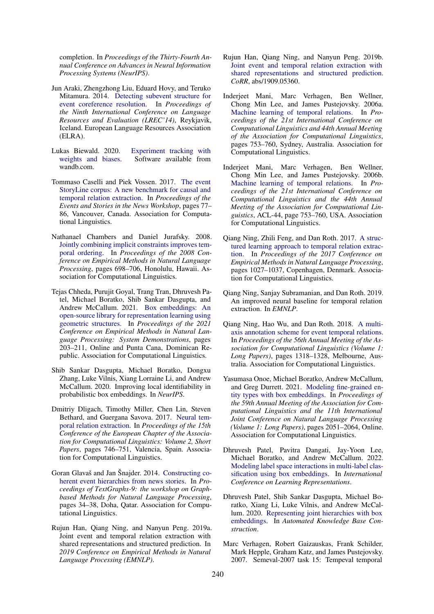completion. In *Proceedings of the Thirty-Fourth Annual Conference on Advances in Neural Information Processing Systems (NeurIPS)*.

- <span id="page-5-2"></span>Jun Araki, Zhengzhong Liu, Eduard Hovy, and Teruko Mitamura. 2014. [Detecting subevent structure for](http://www.lrec-conf.org/proceedings/lrec2014/pdf/963_Paper.pdf) [event coreference resolution.](http://www.lrec-conf.org/proceedings/lrec2014/pdf/963_Paper.pdf) In *Proceedings of the Ninth International Conference on Language Resources and Evaluation (LREC'14)*, Reykjavik, Iceland. European Language Resources Association (ELRA).
- <span id="page-5-11"></span>Lukas Biewald. 2020. [Experiment tracking with](https://www.wandb.com/) [weights and biases.](https://www.wandb.com/) Software available from wandb.com.
- <span id="page-5-9"></span>Tommaso Caselli and Piek Vossen. 2017. [The event](https://doi.org/10.18653/v1/W17-2711) [StoryLine corpus: A new benchmark for causal and](https://doi.org/10.18653/v1/W17-2711) [temporal relation extraction.](https://doi.org/10.18653/v1/W17-2711) In *Proceedings of the Events and Stories in the News Workshop*, pages 77– 86, Vancouver, Canada. Association for Computational Linguistics.
- <span id="page-5-1"></span>Nathanael Chambers and Daniel Jurafsky. 2008. [Jointly combining implicit constraints improves tem](https://aclanthology.org/D08-1073)[poral ordering.](https://aclanthology.org/D08-1073) In *Proceedings of the 2008 Conference on Empirical Methods in Natural Language Processing*, pages 698–706, Honolulu, Hawaii. Association for Computational Linguistics.
- <span id="page-5-18"></span>Tejas Chheda, Purujit Goyal, Trang Tran, Dhruvesh Patel, Michael Boratko, Shib Sankar Dasgupta, and Andrew McCallum. 2021. [Box embeddings: An](https://aclanthology.org/2021.emnlp-demo.24) [open-source library for representation learning using](https://aclanthology.org/2021.emnlp-demo.24) [geometric structures.](https://aclanthology.org/2021.emnlp-demo.24) In *Proceedings of the 2021 Conference on Empirical Methods in Natural Language Processing: System Demonstrations*, pages 203–211, Online and Punta Cana, Dominican Republic. Association for Computational Linguistics.
- <span id="page-5-5"></span>Shib Sankar Dasgupta, Michael Boratko, Dongxu Zhang, Luke Vilnis, Xiang Lorraine Li, and Andrew McCallum. 2020. Improving local identifiability in probabilistic box embeddings. In *NeurIPS*.
- <span id="page-5-15"></span>Dmitriy Dligach, Timothy Miller, Chen Lin, Steven Bethard, and Guergana Savova. 2017. [Neural tem](https://aclanthology.org/E17-2118)[poral relation extraction.](https://aclanthology.org/E17-2118) In *Proceedings of the 15th Conference of the European Chapter of the Association for Computational Linguistics: Volume 2, Short Papers*, pages 746–751, Valencia, Spain. Association for Computational Linguistics.
- <span id="page-5-7"></span>Goran Glavaš and Jan Šnajder. 2014. [Constructing co](https://doi.org/10.3115/v1/W14-3705)[herent event hierarchies from news stories.](https://doi.org/10.3115/v1/W14-3705) In *Proceedings of TextGraphs-9: the workshop on Graphbased Methods for Natural Language Processing*, pages 34–38, Doha, Qatar. Association for Computational Linguistics.
- <span id="page-5-4"></span>Rujun Han, Qiang Ning, and Nanyun Peng. 2019a. Joint event and temporal relation extraction with shared representations and structured prediction. In *2019 Conference on Empirical Methods in Natural Language Processing (EMNLP)*.
- <span id="page-5-10"></span>Rujun Han, Qiang Ning, and Nanyun Peng. 2019b. [Joint event and temporal relation extraction with](http://arxiv.org/abs/1909.05360) [shared representations and structured prediction.](http://arxiv.org/abs/1909.05360) *CoRR*, abs/1909.05360.
- <span id="page-5-0"></span>Inderjeet Mani, Marc Verhagen, Ben Wellner, Chong Min Lee, and James Pustejovsky. 2006a. [Machine learning of temporal relations.](https://doi.org/10.3115/1220175.1220270) In *Proceedings of the 21st International Conference on Computational Linguistics and 44th Annual Meeting of the Association for Computational Linguistics*, pages 753–760, Sydney, Australia. Association for Computational Linguistics.
- <span id="page-5-12"></span>Inderjeet Mani, Marc Verhagen, Ben Wellner, Chong Min Lee, and James Pustejovsky. 2006b. [Machine learning of temporal relations.](https://doi.org/10.3115/1220175.1220270) In *Proceedings of the 21st International Conference on Computational Linguistics and the 44th Annual Meeting of the Association for Computational Linguistics*, ACL-44, page 753–760, USA. Association for Computational Linguistics.
- <span id="page-5-14"></span>Qiang Ning, Zhili Feng, and Dan Roth. 2017. [A struc](https://doi.org/10.18653/v1/D17-1108)[tured learning approach to temporal relation extrac](https://doi.org/10.18653/v1/D17-1108)[tion.](https://doi.org/10.18653/v1/D17-1108) In *Proceedings of the 2017 Conference on Empirical Methods in Natural Language Processing*, pages 1027–1037, Copenhagen, Denmark. Association for Computational Linguistics.
- <span id="page-5-3"></span>Qiang Ning, Sanjay Subramanian, and Dan Roth. 2019. An improved neural baseline for temporal relation extraction. In *EMNLP*.
- <span id="page-5-8"></span>Qiang Ning, Hao Wu, and Dan Roth. 2018. [A multi](https://doi.org/10.18653/v1/P18-1122)[axis annotation scheme for event temporal relations.](https://doi.org/10.18653/v1/P18-1122) In *Proceedings of the 56th Annual Meeting of the Association for Computational Linguistics (Volume 1: Long Papers)*, pages 1318–1328, Melbourne, Australia. Association for Computational Linguistics.
- <span id="page-5-16"></span>Yasumasa Onoe, Michael Boratko, Andrew McCallum, and Greg Durrett. 2021. [Modeling fine-grained en](https://doi.org/10.18653/v1/2021.acl-long.160)[tity types with box embeddings.](https://doi.org/10.18653/v1/2021.acl-long.160) In *Proceedings of the 59th Annual Meeting of the Association for Computational Linguistics and the 11th International Joint Conference on Natural Language Processing (Volume 1: Long Papers)*, pages 2051–2064, Online. Association for Computational Linguistics.
- <span id="page-5-17"></span>Dhruvesh Patel, Pavitra Dangati, Jay-Yoon Lee, Michael Boratko, and Andrew McCallum. 2022. [Modeling label space interactions in multi-label clas](https://openreview.net/forum?id=tyTH9kOxcvh)[sification using box embeddings.](https://openreview.net/forum?id=tyTH9kOxcvh) In *International Conference on Learning Representations*.
- <span id="page-5-6"></span>Dhruvesh Patel, Shib Sankar Dasgupta, Michael Boratko, Xiang Li, Luke Vilnis, and Andrew McCallum. 2020. [Representing joint hierarchies with box](https://openreview.net/forum?id=J246NSqR_l) [embeddings.](https://openreview.net/forum?id=J246NSqR_l) In *Automated Knowledge Base Construction*.
- <span id="page-5-13"></span>Marc Verhagen, Robert Gaizauskas, Frank Schilder, Mark Hepple, Graham Katz, and James Pustejovsky. 2007. Semeval-2007 task 15: Tempeval temporal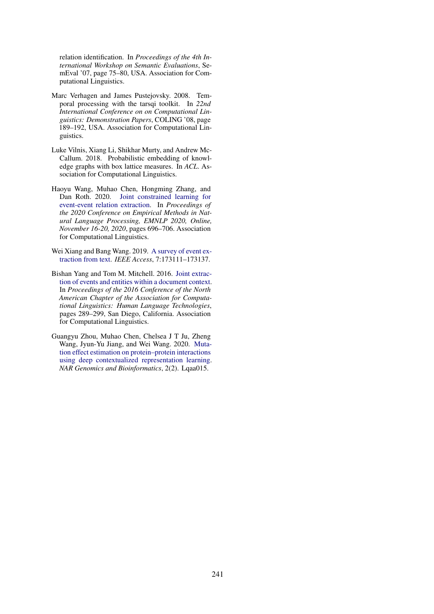relation identification. In *Proceedings of the 4th International Workshop on Semantic Evaluations*, SemEval '07, page 75–80, USA. Association for Computational Linguistics.

- <span id="page-6-5"></span>Marc Verhagen and James Pustejovsky. 2008. Temporal processing with the tarsqi toolkit. In *22nd International Conference on on Computational Linguistics: Demonstration Papers*, COLING '08, page 189–192, USA. Association for Computational Linguistics.
- <span id="page-6-3"></span>Luke Vilnis, Xiang Li, Shikhar Murty, and Andrew Mc-Callum. 2018. Probabilistic embedding of knowledge graphs with box lattice measures. In *ACL*. Association for Computational Linguistics.
- <span id="page-6-0"></span>Haoyu Wang, Muhao Chen, Hongming Zhang, and Dan Roth. 2020. [Joint constrained learning for](https://doi.org/10.18653/v1/2020.emnlp-main.51) [event-event relation extraction.](https://doi.org/10.18653/v1/2020.emnlp-main.51) In *Proceedings of the 2020 Conference on Empirical Methods in Natural Language Processing, EMNLP 2020, Online, November 16-20, 2020*, pages 696–706. Association for Computational Linguistics.
- <span id="page-6-2"></span>Wei Xiang and Bang Wang. 2019. [A survey of event ex](https://doi.org/10.1109/ACCESS.2019.2956831)[traction from text.](https://doi.org/10.1109/ACCESS.2019.2956831) *IEEE Access*, 7:173111–173137.
- <span id="page-6-1"></span>Bishan Yang and Tom M. Mitchell. 2016. [Joint extrac](https://doi.org/10.18653/v1/N16-1033)[tion of events and entities within a document context.](https://doi.org/10.18653/v1/N16-1033) In *Proceedings of the 2016 Conference of the North American Chapter of the Association for Computational Linguistics: Human Language Technologies*, pages 289–299, San Diego, California. Association for Computational Linguistics.
- <span id="page-6-4"></span>Guangyu Zhou, Muhao Chen, Chelsea J T Ju, Zheng Wang, Jyun-Yu Jiang, and Wei Wang. 2020. [Muta](https://doi.org/10.1093/nargab/lqaa015)[tion effect estimation on protein–protein interactions](https://doi.org/10.1093/nargab/lqaa015) [using deep contextualized representation learning.](https://doi.org/10.1093/nargab/lqaa015) *NAR Genomics and Bioinformatics*, 2(2). Lqaa015.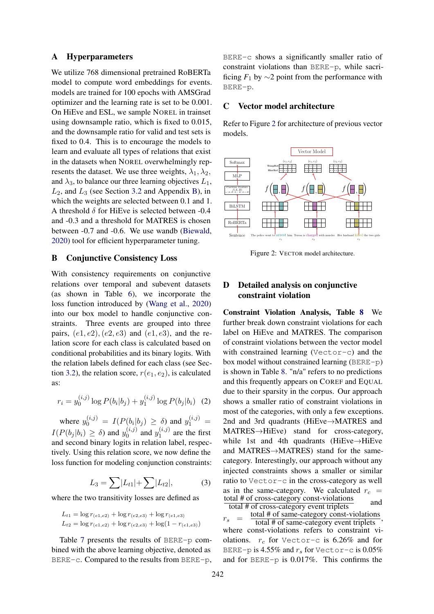#### A Hyperparameters

We utilize 768 dimensional pretrained RoBERTa model to compute word embeddings for events. models are trained for 100 epochs with AMSGrad optimizer and the learning rate is set to be 0.001. On HiEve and ESL, we sample NOREL in trainset using downsample ratio, which is fixed to 0.015, and the downsample ratio for valid and test sets is fixed to 0.4. This is to encourage the models to learn and evaluate all types of relations that exist in the datasets when NOREL overwhelmingly represents the dataset. We use three weights,  $\lambda_1, \lambda_2$ , and  $\lambda_3$ , to balance our three learning objectives  $L_1$ ,  $L_2$ , and  $L_3$  (see Section [3.2](#page-2-0) and Appendix [B\)](#page-7-0), in which the weights are selected between 0.1 and 1. A threshold  $\delta$  for HiEve is selected between -0.4 and -0.3 and a threshold for MATRES is chosen between -0.7 and -0.6. We use wandb [\(Biewald,](#page-5-11) [2020\)](#page-5-11) tool for efficient hyperparameter tuning.

### <span id="page-7-0"></span>B Conjunctive Consistency Loss

With consistency requirements on conjunctive relations over temporal and subevent datasets (as shown in Table [6\)](#page-8-0), we incorporate the loss function introduced by [\(Wang et al.,](#page-6-0) [2020\)](#page-6-0) into our box model to handle conjunctive constraints. Three events are grouped into three pairs,  $(e1, e2)$ ,  $(e2, e3)$  and  $(e1, e3)$ , and the relation score for each class is calculated based on conditional probabilities and its binary logits. With the relation labels defined for each class (see Sec-tion [3.2\)](#page-2-0), the relation score,  $r(e_1, e_2)$ , is calculated as:

$$
r_i = y_0^{(i,j)} \log P(b_i|b_j) + y_1^{(i,j)} \log P(b_j|b_i) \quad (2)
$$

where  $y_0^{(i,j)} = I(P(b_i|b_j) \ge \delta)$  and  $y_1^{(i,j)} =$  $I(P(b_j | b_i) \ge \delta)$  and  $y_0^{(i,j)}$  $y_0^{(i,j)}$  and  $y_1^{(i,j)}$  $1^{(i,j)}$  are the first and second binary logits in relation label, respectively. Using this relation score, we now define the loss function for modeling conjunction constraints:

$$
L_3 = \sum |L_{t1}| + \sum |L_{t2}|, \tag{3}
$$

where the two transitivity losses are defined as

$$
L_{t1} = \log r_{(e1,e2)} + \log r_{(e2,e3)} + \log r_{(e1,e3)}
$$
  
\n
$$
L_{t2} = \log r_{(e1,e2)} + \log r_{(e2,e3)} + \log(1 - r_{(e1,e3)})
$$

Table [7](#page-8-3) presents the results of BERE-p combined with the above learning objective, denoted as BERE-c. Compared to the results from BERE-p,

BERE-c shows a significantly smaller ratio of constraint violations than BERE-p, while sacrificing  $F_1$  by  $\sim$ 2 point from the performance with BERE-p.

### C Vector model architecture

Refer to Figure [2](#page-7-1) for architecture of previous vector models.

<span id="page-7-1"></span>

Figure 2: VECTOR model architecture.

## D Detailed analysis on conjunctive constraint violation

Constraint Violation Analysis, Table [8](#page-8-2) We further break down constraint violations for each label on HiEve and MATRES. The comparison of constraint violations between the vector model with constrained learning (Vector-c) and the box model without constrained learning (BERE-p) is shown in Table [8.](#page-8-2) "n/a" refers to no predictions and this frequently appears on COREF and EQUAL due to their sparsity in the corpus. Our approach shows a smaller ratio of constraint violations in most of the categories, with only a few exceptions. 2nd and 3rd quadrants (HiEve→MATRES and MATRES→HiEve) stand for cross-category, while 1st and 4th quadrants (HiEve→HiEve and MATRES→MATRES) stand for the samecategory. Interestingly, our approach without any injected constraints shows a smaller or similar ratio to Vector-c in the cross-category as well as in the same-category. We calculated  $r_c$  = total # of cross-category const-violations  $\frac{\text{total } n \text{ of cross category const rotations}}{\text{total } # \text{ of cross category event triplets}}$  and

 $r_s =$ total # of same-category const-violations total # of same-category event triplets where const-violations refers to constraint violations.  $r_c$  for Vector-c is 6.26% and for BERE-p is 4.55% and  $r_s$  for Vector-c is 0.05% and for BERE-p is 0.017%. This confirms the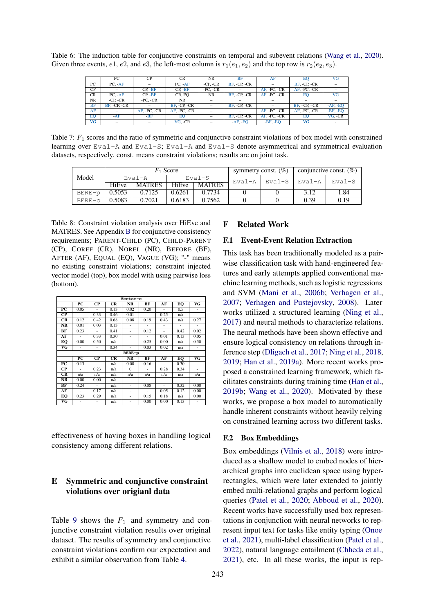<span id="page-8-0"></span>Table 6: The induction table for conjunctive constraints on temporal and subevent relations [\(Wang et al.,](#page-6-0) [2020\)](#page-6-0). Given three events, e1, e2, and e3, the left-most column is  $r_1(e_1, e_2)$  and the top row is  $r_2(e_2, e_3)$ .

|                 | PС           | СP           | <b>CR</b>      | <b>NR</b>     | BF           | AF           |                | VG              |
|-----------------|--------------|--------------|----------------|---------------|--------------|--------------|----------------|-----------------|
| PC              | $PC. -AF$    |              | $PC. -AF$      | $-CP, -CR$    | BF, -CP, -CR |              | BF, -CP, -CR   |                 |
| CP              |              | $CP. -BF$    | $CP. -BF$      | $-PC$ , $-CR$ |              | AF, -PC, -CR | AF, -PC, -CR   |                 |
| CR              | $PC. -AF$    | $CP. -BF$    | CR, EO         | NR            | BF, -CP, -CR | AF, -PC, -CR | EО             | $\overline{VG}$ |
| <b>NR</b>       | $-CP. -CR$   | $-PC, -CR$   | NR             |               |              |              |                |                 |
| <b>BF</b>       | BF. -CP. -CR |              | $BF. -CP. -CR$ |               | BF, -CP, -CR |              | $BF, -CP, -CR$ | $AF$ , EO       |
| AF              |              | AF, -PC, -CR | AF. - PC. - CR |               |              | AF, -PC, -CR | AF, -PC, -CR   | -BF, EO         |
| EQ              | $-AF$        | $-BF$        | EO.            |               | BF. -CP. -CR | AF, PC, CR   | EO             | VG, CR          |
| $\overline{VG}$ |              |              | VG, CR         |               | $AF$ , EO    | -BF, EO      | VG             |                 |

<span id="page-8-3"></span>Table 7:  $F_1$  scores and the ratio of symmetric and conjunctive constraint violations of box model with constrained learning over Eval-A and Eval-S; Eval-A and Eval-S denote asymmetrical and symmetrical evaluation datasets, respectively. const. means constraint violations; results are on joint task.

| Model    |        |               | $F_1$ Score |               | symmetry const. $(\%)$   | conjunctive const. $(\%)$ |        |  |
|----------|--------|---------------|-------------|---------------|--------------------------|---------------------------|--------|--|
|          |        | Eval-A        | $Eval-S$    |               | Eval-A   Eval-S   Eval-A |                           | Eval-S |  |
|          | HiEve  | <b>MATRES</b> | HiEve       | <b>MATRES</b> |                          |                           |        |  |
| BERE-p   | 0.5053 | 0.7125        | 0.6261      | 0.7734        |                          | 3.12                      | 1.84   |  |
| $BERE-c$ | 0.5083 | 0.7021        | 0.6183      | 0.7562        |                          | 0.39                      | 0.19   |  |

<span id="page-8-2"></span>Table 8: Constraint violation analysis over HiEve and MATRES. See Appendix [B](#page-7-0) for conjunctive consistency requirements; PARENT-CHILD (PC), CHILD-PARENT (CP), COREF (CR), NOREL (NR), BEFORE (BF), AFTER (AF), EQUAL (EQ), VAGUE (VG); "-" means no existing constraint violations; constraint injected vector model (top), box model with using pairwise loss (bottom).

| Vector-c  |                 |                          |      |                        |      |        |                          |                          |  |  |
|-----------|-----------------|--------------------------|------|------------------------|------|--------|--------------------------|--------------------------|--|--|
|           | $_{PC}$         | $\overline{\mathbf{CP}}$ | CR   | $\overline{\text{NR}}$ | BF   | AF     | EO                       | $\overline{\mathbf{VG}}$ |  |  |
| PС        | 0.05            | ÷,                       | 0.13 | 0.02                   | 0.20 | $\sim$ | 0.5                      | ٠                        |  |  |
| СP        | ٠               | 0.33                     | 0.46 | 0.01                   | ÷    | 0.25   | n/a                      | ٠                        |  |  |
| CR        | 0.12            | 0.42                     | 0.68 | 0.08                   | 0.19 | 0.43   | n/a                      | 0.27                     |  |  |
| NR        | 0.01            | 0.03                     | 0.13 |                        | ٠    |        | ٠                        | ÷,                       |  |  |
| BF        | 0.23            | ÷                        | 0.41 | ÷,                     | 0.12 |        | 0.42                     | 0.02                     |  |  |
| AF        | ÷               | 0.33                     | 0.30 | ÷,                     | ÷    | 0.01   | 0.13                     | 0.05                     |  |  |
| EO        | 0.00            | 0.50                     | n/a  |                        | 0.25 | 0.00   | n/a                      | 0.50                     |  |  |
| VG        |                 | $\overline{\phantom{0}}$ | 0.34 |                        | 0.03 | 0.02   | n/a                      | $\overline{\phantom{m}}$ |  |  |
|           |                 |                          |      | BERE-p                 |      |        |                          |                          |  |  |
|           | $\overline{PC}$ | $\overline{\mathbf{C}}$  | CR   | <b>NR</b>              | BF   | AF     | EO                       | $\overline{\mathbf{VG}}$ |  |  |
| PС        | 0.13            | L,                       | n/a  | 0.00                   | 0.16 |        | 0.30                     | ä,                       |  |  |
| СP        | ÷               | 0.23                     | n/a  | $\mathbf{0}$           | ÷    | 0.28   | 0.34                     | ÷                        |  |  |
| <b>CR</b> | n/a             | n/a                      | n/a  | n/a                    | n/a  | n/a    | n/a                      | n/a                      |  |  |
| NR        | 0.00            | 0.00                     | n/a  |                        | ٠    |        | $\overline{\phantom{0}}$ | $\sim$                   |  |  |
| BF        | 0.24            | L,                       | n/a  | ٠                      | 0.08 |        | 0.32                     | 0.00                     |  |  |
| AF        | ٠               | 0.17                     | n/a  | ٠                      | ٠    | 0.05   | 0.12                     | 0.00                     |  |  |
| EO        | 0.23            | 0.29                     | n/a  | ٠                      | 0.15 | 0.18   | n/a                      | 0.00                     |  |  |
| VG        | ۰               | ۰                        | n/a  | ٠                      | 0.00 | 0.00   | 0.13                     | ٠                        |  |  |

effectiveness of having boxes in handling logical consistency among different relations.

## <span id="page-8-1"></span>E Symmetric and conjunctive constraint violations over origianl data

Table [9](#page-9-0) shows the  $F_1$  and symmetry and conjunctive constraint violation results over original dataset. The results of symmetry and conjunctive constraint violations confirm our expectation and exhibit a similar observation from Table [4.](#page-4-1)

### F Related Work

#### F.1 Event-Event Relation Extraction

This task has been traditionally modeled as a pairwise classification task with hand-engineered features and early attempts applied conventional machine learning methods, such as logistic regressions and SVM [\(Mani et al.,](#page-5-12) [2006b;](#page-5-12) [Verhagen et al.,](#page-5-13) [2007;](#page-5-13) [Verhagen and Pustejovsky,](#page-6-5) [2008\)](#page-6-5). Later works utilized a structured learning [\(Ning et al.,](#page-5-14) [2017\)](#page-5-14) and neural methods to characterize relations. The neural methods have been shown effective and ensure logical consistency on relations through inference step [\(Dligach et al.,](#page-5-15) [2017;](#page-5-15) [Ning et al.,](#page-5-8) [2018,](#page-5-8) [2019;](#page-5-3) [Han et al.,](#page-5-4) [2019a\)](#page-5-4). More recent works proposed a constrained learning framework, which facilitates constraints during training time [\(Han et al.,](#page-5-10) [2019b;](#page-5-10) [Wang et al.,](#page-6-0) [2020\)](#page-6-0). Motivated by these works, we propose a box model to automatically handle inherent constraints without heavily relying on constrained learning across two different tasks.

### F.2 Box Embeddings

Box embeddings [\(Vilnis et al.,](#page-6-3) [2018\)](#page-6-3) were introduced as a shallow model to embed nodes of hierarchical graphs into euclidean space using hyperrectangles, which were later extended to jointly embed multi-relational graphs and perform logical queries [\(Patel et al.,](#page-5-6) [2020;](#page-5-6) [Abboud et al.,](#page-4-0) [2020\)](#page-4-0). Recent works have successfully used box representations in conjunction with neural networks to represent input text for tasks like entity typing [\(Onoe](#page-5-16) [et al.,](#page-5-16) [2021\)](#page-5-16), multi-label classification [\(Patel et al.,](#page-5-17) [2022\)](#page-5-17), natural language entailment [\(Chheda et al.,](#page-5-18) [2021\)](#page-5-18), etc. In all these works, the input is rep